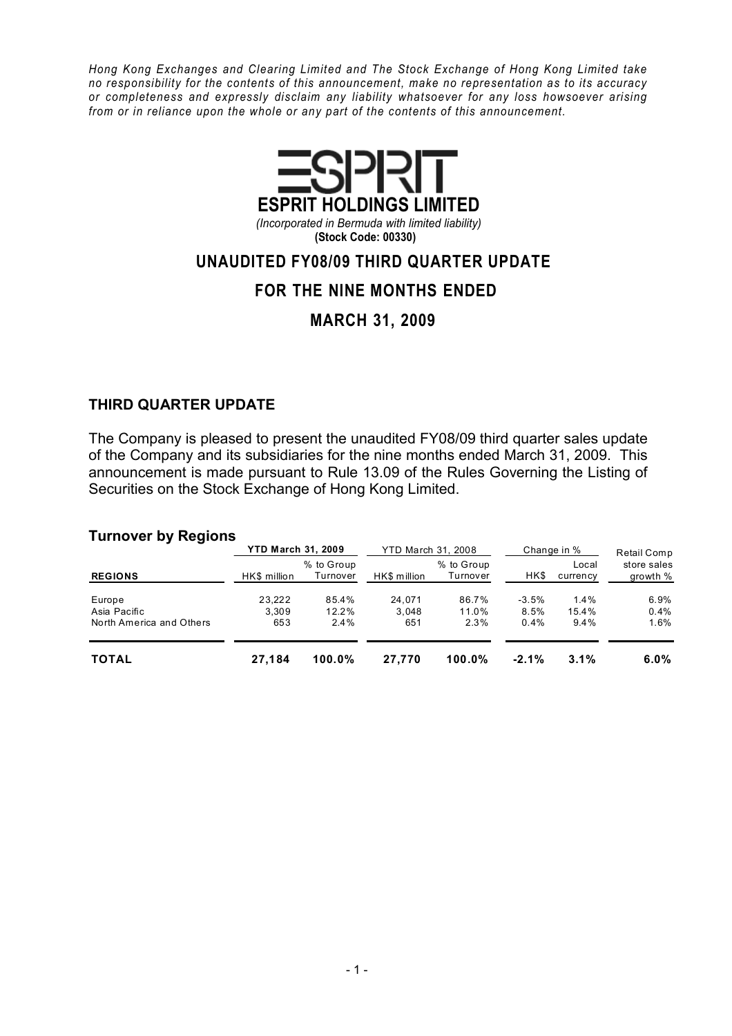Hong Kong Exchanges and Clearing Limited and The Stock Exchange of Hong Kong Limited take no responsibility for the contents of this announcement, make no representation as to its accuracy or completeness and expressly disclaim any liability whatsoever for any loss howsoever arising from or in reliance upon the whole or any part of the contents of this announcement.



(Incorporated in Bermuda with limited liability) (Stock Code: 00330)

## UNAUDITED FY08/09 THIRD QUARTER UPDATE

## FOR THE NINE MONTHS ENDED

MARCH 31, 2009

### THIRD QUARTER UPDATE

The Company is pleased to present the unaudited FY08/09 third quarter sales update of the Company and its subsidiaries for the nine months ended March 31, 2009. This announcement is made pursuant to Rule 13.09 of the Rules Governing the Listing of Securities on the Stock Exchange of Hong Kong Limited.

#### Turnover by Regions

|                          | <b>YTD March 31, 2009</b> |                        | YTD March 31, 2008 |                        |         | Change in %       | Retail Comp             |  |  |
|--------------------------|---------------------------|------------------------|--------------------|------------------------|---------|-------------------|-------------------------|--|--|
| <b>REGIONS</b>           | HK\$ million              | % to Group<br>Turnover | HK\$ million       | % to Group<br>Turnover | HK\$    | Local<br>currency | store sales<br>growth % |  |  |
| Europe                   | 23.222                    | 85.4%                  | 24.071             | 86.7%                  | $-3.5%$ | $1.4\%$           | 6.9%                    |  |  |
| Asia Pacific             | 3.309                     | 12.2%                  | 3.048              | 11.0%                  | 8.5%    | 15.4%             | 0.4%                    |  |  |
| North America and Others | 653                       | $2.4\%$                | 651                | 2.3%                   | 0.4%    | $9.4\%$           | 1.6%                    |  |  |
| <b>TOTAL</b>             | 27.184                    | $100.0\%$              | 27.770             | $100.0\%$              | $-2.1%$ | 3.1%              | $6.0\%$                 |  |  |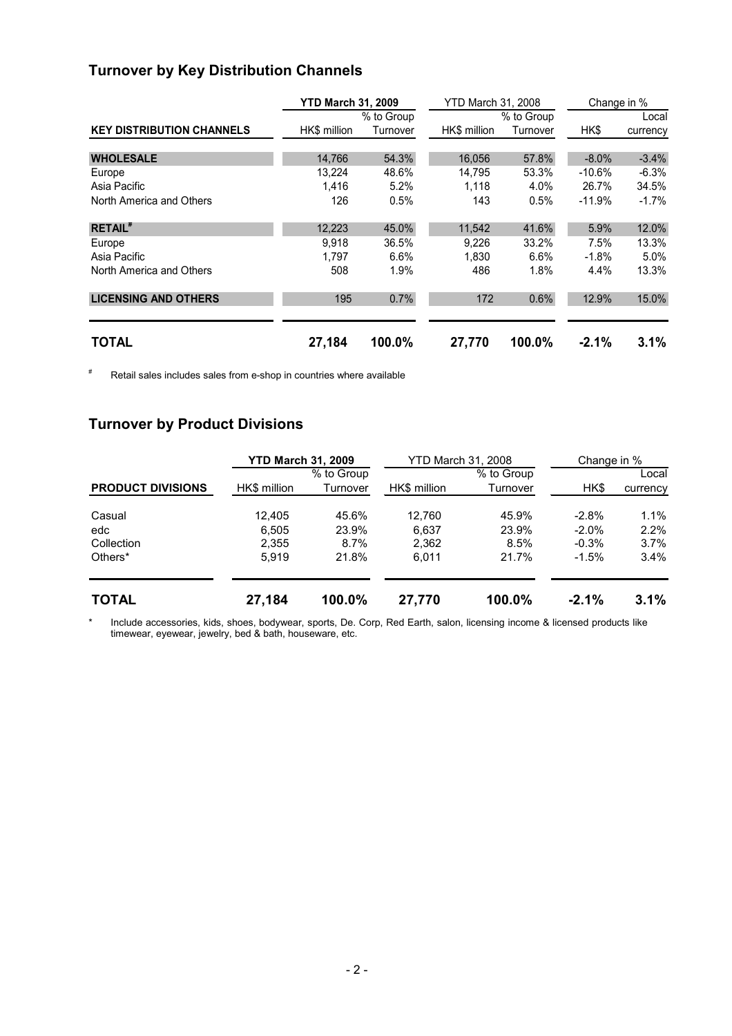# Turnover by Key Distribution Channels

|                                  | <b>YTD March 31, 2009</b> |            | <b>YTD March 31, 2008</b> |            | Change in % |          |  |
|----------------------------------|---------------------------|------------|---------------------------|------------|-------------|----------|--|
|                                  |                           | % to Group |                           | % to Group |             | Local    |  |
| <b>KEY DISTRIBUTION CHANNELS</b> | HK\$ million              | Turnover   | HK\$ million              | Turnover   | HK\$        | currency |  |
|                                  |                           |            |                           |            |             |          |  |
| <b>WHOLESALE</b>                 | 14,766                    | 54.3%      | 16,056                    | 57.8%      | $-8.0\%$    | $-3.4%$  |  |
| Europe                           | 13,224                    | 48.6%      | 14,795                    | 53.3%      | $-10.6\%$   | $-6.3%$  |  |
| Asia Pacific                     | 1,416                     | 5.2%       | 1.118                     | 4.0%       | 26.7%       | 34.5%    |  |
| North America and Others         | 126                       | 0.5%       | 143                       | 0.5%       | $-11.9%$    | $-1.7\%$ |  |
| <b>RETAIL</b> <sup>#</sup>       | 12,223                    | 45.0%      | 11,542                    | 41.6%      | 5.9%        | 12.0%    |  |
| Europe                           | 9.918                     | 36.5%      | 9.226                     | 33.2%      | 7.5%        | 13.3%    |  |
| Asia Pacific                     | 1.797                     | 6.6%       | 1.830                     | 6.6%       | $-1.8\%$    | 5.0%     |  |
| North America and Others         | 508                       | 1.9%       | 486                       | 1.8%       | 4.4%        | 13.3%    |  |
| <b>LICENSING AND OTHERS</b>      | 195                       | 0.7%       | 172                       | 0.6%       | 12.9%       | 15.0%    |  |
| <b>TOTAL</b>                     | 27,184                    | 100.0%     | 27,770                    | 100.0%     | $-2.1%$     | 3.1%     |  |

# Retail sales includes sales from e-shop in countries where available

## Turnover by Product Divisions

|                          | <b>YTD March 31, 2009</b> |            | <b>YTD March 31, 2008</b> |            | Change in % |          |  |  |
|--------------------------|---------------------------|------------|---------------------------|------------|-------------|----------|--|--|
|                          |                           | % to Group |                           | % to Group |             | Local    |  |  |
| <b>PRODUCT DIVISIONS</b> | HK\$ million              | Turnover   | HK\$ million              | Turnover   | HK\$        | currency |  |  |
| Casual                   | 12.405                    | 45.6%      | 12.760                    | 45.9%      | $-2.8%$     | $1.1\%$  |  |  |
| edc                      | 6.505                     | 23.9%      | 6,637                     | 23.9%      | $-2.0\%$    | $2.2\%$  |  |  |
| Collection               | 2,355                     | 8.7%       | 2,362                     | 8.5%       | $-0.3%$     | $3.7\%$  |  |  |
| Others <sup>*</sup>      | 5.919                     | 21.8%      | 6.011                     | 21.7%      | $-1.5%$     | $3.4\%$  |  |  |
| <b>TOTAL</b>             | 27,184                    | 100.0%     | 27,770                    | 100.0%     | $-2.1%$     | 3.1%     |  |  |

\* Include accessories, kids, shoes, bodywear, sports, De. Corp, Red Earth, salon, licensing income & licensed products like timewear, eyewear, jewelry, bed & bath, houseware, etc.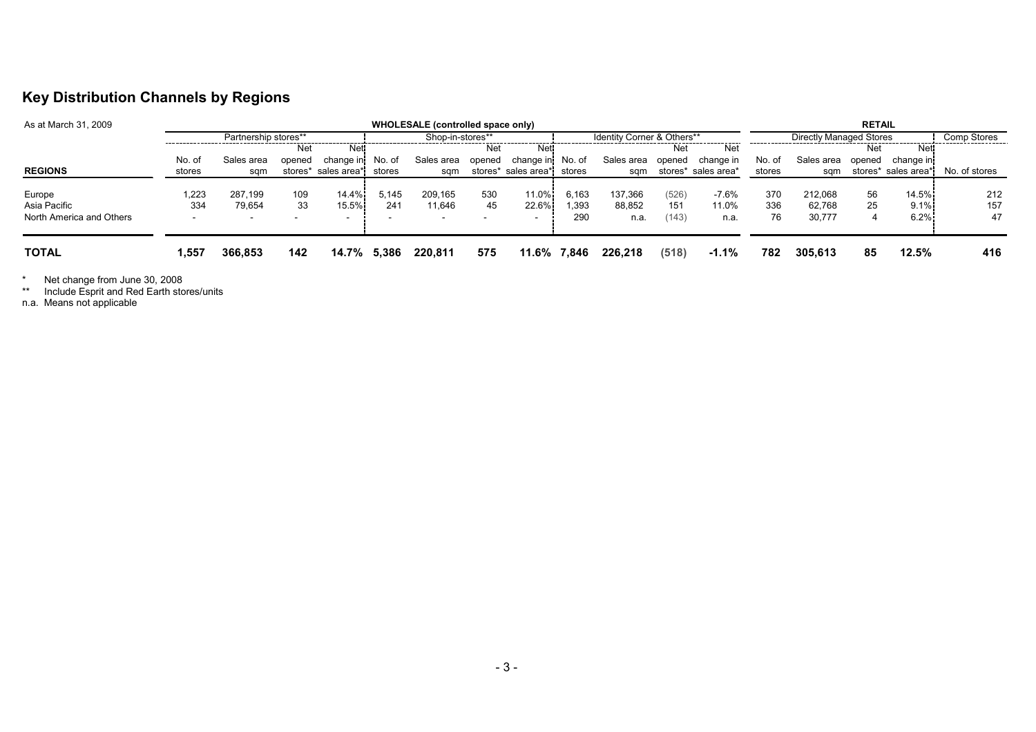## Key Distribution Channels by Regions

| As at March 31, 2009                               | WHOLESALE (controlled space only) |                   |           |                                            |                  |                   |                                       |                      |                            | <b>RETAIL</b>             |                       |                          |                  |                             |               |                       |                  |
|----------------------------------------------------|-----------------------------------|-------------------|-----------|--------------------------------------------|------------------|-------------------|---------------------------------------|----------------------|----------------------------|---------------------------|-----------------------|--------------------------|------------------|-----------------------------|---------------|-----------------------|------------------|
|                                                    | Partnership stores**              |                   |           |                                            | Shop-in-stores** |                   |                                       |                      | Identity Corner & Others** |                           |                       | Directly Managed Stores  |                  |                             |               | Comp Stores           |                  |
|                                                    |                                   |                   | Net       | Net <sup>-</sup>                           |                  |                   | Net                                   | Net <sup>.</sup>     |                            |                           | Net                   | Net                      |                  |                             | Net           | Net                   |                  |
|                                                    | No. of                            | Sales area        | opened    | change in                                  | No. of           | Sales area        | opened                                | change in            | No. of                     | Sales area                | opened                | change in                | No. of           | Sales area                  | opened        | change inj            |                  |
| <b>REGIONS</b>                                     | stores                            | sam               |           | stores* sales area*                        | stores           | sqm               |                                       | stores* sales area*i | stores                     | sqm                       |                       | stores* sales area*      | stores           | sqm                         |               | stores* sales area*i  | No. of stores    |
| Europe<br>Asia Pacific<br>North America and Others | .223<br>334                       | 287,199<br>79.654 | 109<br>33 | 14.4%<br>15.5%<br>$\overline{\phantom{a}}$ | 5.145<br>241     | 209.165<br>11.646 | 530<br>45<br>$\overline{\phantom{0}}$ | 11.0%<br>22.6%       | 6,163<br>1.393<br>290      | 137,366<br>88,852<br>n.a. | (526)<br>151<br>(143) | $-7.6%$<br>11.0%<br>n.a. | 370<br>336<br>76 | 212.068<br>62.768<br>30,777 | 56<br>25<br>4 | 14.5%<br>9.1%<br>6.2% | 212<br>157<br>47 |
| <b>TOTAL</b>                                       | 1,557                             | 366,853           | 142       | 14.7%                                      | 5.386            | 220.811           | 575                                   | 11.6%                | 7,846                      | 226,218                   | (518)                 | $-1.1%$                  | 782              | 305.613                     | 85            | 12.5%                 | 416              |

\* Net change from June 30, 2008 \*\* Include Esprit and Red Earth stores/units n.a. Means not applicable